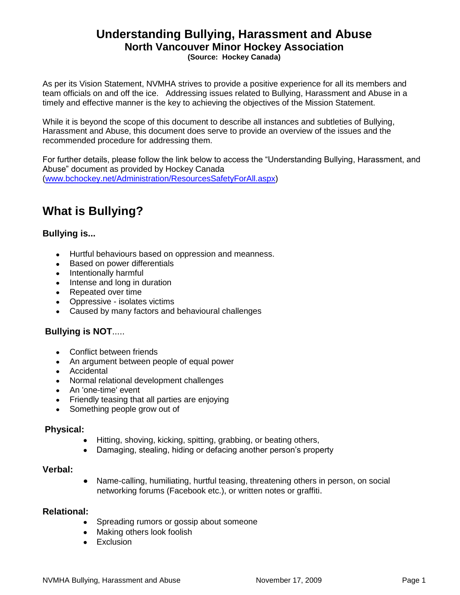# **Understanding Bullying, Harassment and Abuse North Vancouver Minor Hockey Association**

**(Source: Hockey Canada)**

As per its Vision Statement, NVMHA strives to provide a positive experience for all its members and team officials on and off the ice. Addressing issues related to Bullying, Harassment and Abuse in a timely and effective manner is the key to achieving the objectives of the Mission Statement.

While it is beyond the scope of this document to describe all instances and subtleties of Bullying, Harassment and Abuse, this document does serve to provide an overview of the issues and the recommended procedure for addressing them.

For further details, please follow the link below to access the "Understanding Bullying, Harassment, and Abuse" document as provided by Hockey Canada [\(www.bchockey.net/Administration/ResourcesSafetyForAll.aspx\)](http://www.bchockey.net/Administration/ResourcesSafetyForAll.aspx)

# **What is Bullying?**

#### **Bullying is...**

- Hurtful behaviours based on oppression and meanness.
- Based on power differentials
- Intentionally harmful
- Intense and long in duration
- Repeated over time
- Oppressive isolates victims
- Caused by many factors and behavioural challenges

### **Bullying is NOT**.....

- Conflict between friends
- An argument between people of equal power
- Accidental
- Normal relational development challenges
- An 'one-time' event
- Friendly teasing that all parties are enjoying
- Something people grow out of

#### **Physical:**

- Hitting, shoving, kicking, spitting, grabbing, or beating others,
- Damaging, stealing, hiding or defacing another person's property

#### **Verbal:**

Name-calling, humiliating, hurtful teasing, threatening others in person, on social  $\bullet$ networking forums (Facebook etc.), or written notes or graffiti.

#### **Relational:**

- Spreading rumors or gossip about someone  $\bullet$
- Making others look foolish
- Exclusion